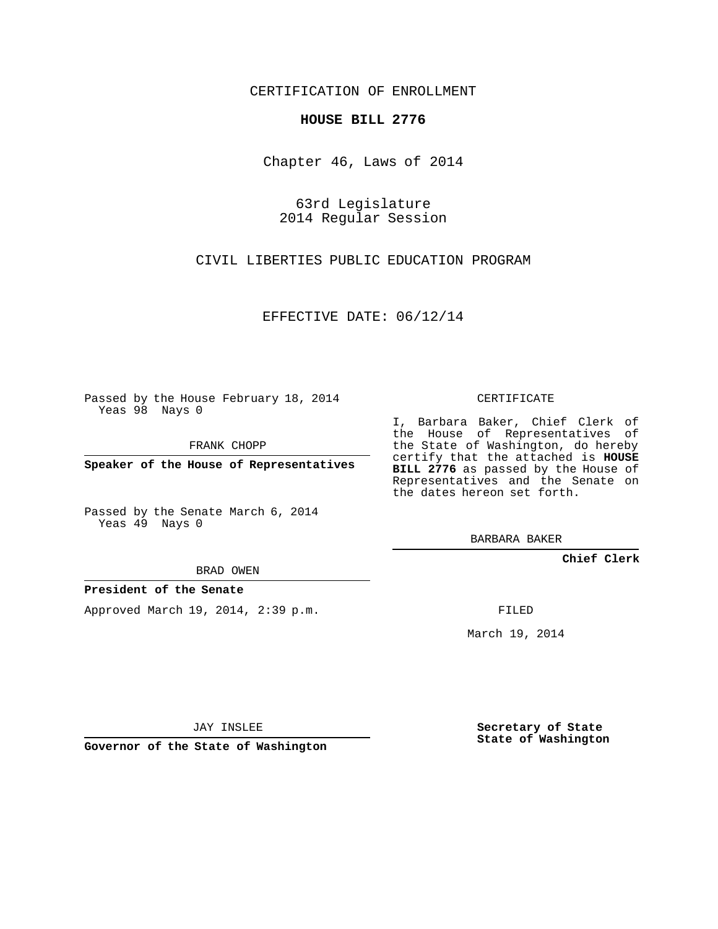CERTIFICATION OF ENROLLMENT

## **HOUSE BILL 2776**

Chapter 46, Laws of 2014

63rd Legislature 2014 Regular Session

CIVIL LIBERTIES PUBLIC EDUCATION PROGRAM

EFFECTIVE DATE: 06/12/14

Passed by the House February 18, 2014 Yeas 98 Nays 0

FRANK CHOPP

**Speaker of the House of Representatives**

Passed by the Senate March 6, 2014 Yeas 49 Nays 0

BRAD OWEN

## **President of the Senate**

Approved March 19, 2014, 2:39 p.m.

CERTIFICATE

I, Barbara Baker, Chief Clerk of the House of Representatives of the State of Washington, do hereby certify that the attached is **HOUSE BILL 2776** as passed by the House of Representatives and the Senate on the dates hereon set forth.

BARBARA BAKER

**Chief Clerk**

FILED

March 19, 2014

JAY INSLEE

**Governor of the State of Washington**

**Secretary of State State of Washington**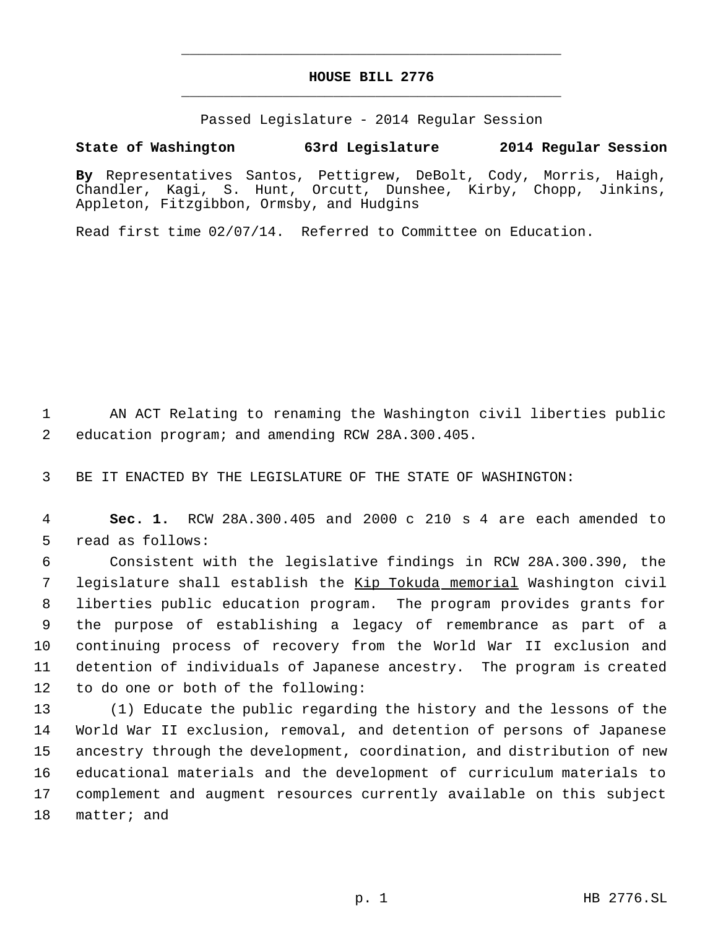## **HOUSE BILL 2776** \_\_\_\_\_\_\_\_\_\_\_\_\_\_\_\_\_\_\_\_\_\_\_\_\_\_\_\_\_\_\_\_\_\_\_\_\_\_\_\_\_\_\_\_\_

\_\_\_\_\_\_\_\_\_\_\_\_\_\_\_\_\_\_\_\_\_\_\_\_\_\_\_\_\_\_\_\_\_\_\_\_\_\_\_\_\_\_\_\_\_

Passed Legislature - 2014 Regular Session

## **State of Washington 63rd Legislature 2014 Regular Session**

**By** Representatives Santos, Pettigrew, DeBolt, Cody, Morris, Haigh, Chandler, Kagi, S. Hunt, Orcutt, Dunshee, Kirby, Chopp, Jinkins, Appleton, Fitzgibbon, Ormsby, and Hudgins

Read first time 02/07/14. Referred to Committee on Education.

 AN ACT Relating to renaming the Washington civil liberties public education program; and amending RCW 28A.300.405.

BE IT ENACTED BY THE LEGISLATURE OF THE STATE OF WASHINGTON:

 **Sec. 1.** RCW 28A.300.405 and 2000 c 210 s 4 are each amended to read as follows:

 Consistent with the legislative findings in RCW 28A.300.390, the legislature shall establish the Kip Tokuda memorial Washington civil liberties public education program. The program provides grants for the purpose of establishing a legacy of remembrance as part of a continuing process of recovery from the World War II exclusion and detention of individuals of Japanese ancestry. The program is created to do one or both of the following:

 (1) Educate the public regarding the history and the lessons of the World War II exclusion, removal, and detention of persons of Japanese ancestry through the development, coordination, and distribution of new educational materials and the development of curriculum materials to complement and augment resources currently available on this subject matter; and